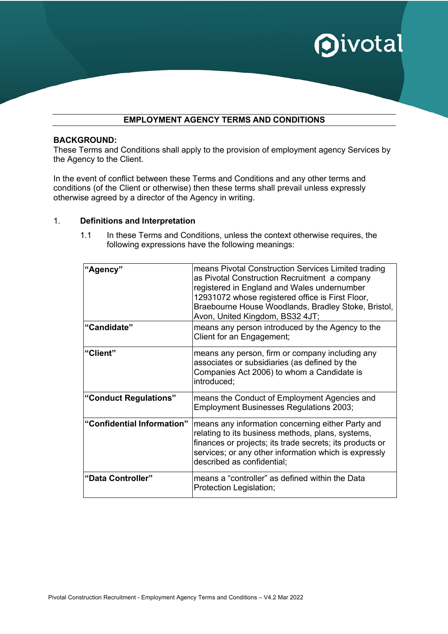

a a

### **EMPLOYMENT AGENCY TERMS AND CONDITIONS**

#### **BACKGROUND:**

These Terms and Conditions shall apply to the provision of employment agency Services by the Agency to the Client.

In the event of conflict between these Terms and Conditions and any other terms and conditions (of the Client or otherwise) then these terms shall prevail unless expressly otherwise agreed by a director of the Agency in writing.

#### 1. **Definitions and Interpretation**

1.1 In these Terms and Conditions, unless the context otherwise requires, the following expressions have the following meanings:

| "Agency"<br>"Candidate"    | means Pivotal Construction Services Limited trading<br>as Pivotal Construction Recruitment a company<br>registered in England and Wales undernumber<br>12931072 whose registered office is First Floor,<br>Braebourne House Woodlands, Bradley Stoke, Bristol,<br>Avon, United Kingdom, BS32 4JT;<br>means any person introduced by the Agency to the |
|----------------------------|-------------------------------------------------------------------------------------------------------------------------------------------------------------------------------------------------------------------------------------------------------------------------------------------------------------------------------------------------------|
|                            | Client for an Engagement;                                                                                                                                                                                                                                                                                                                             |
| "Client"                   | means any person, firm or company including any<br>associates or subsidiaries (as defined by the<br>Companies Act 2006) to whom a Candidate is<br>introduced;                                                                                                                                                                                         |
| "Conduct Regulations"      | means the Conduct of Employment Agencies and<br><b>Employment Businesses Regulations 2003;</b>                                                                                                                                                                                                                                                        |
| "Confidential Information" | means any information concerning either Party and<br>relating to its business methods, plans, systems,<br>finances or projects; its trade secrets; its products or<br>services; or any other information which is expressly<br>described as confidential;                                                                                             |
| "Data Controller"          | means a "controller" as defined within the Data<br>Protection Legislation;                                                                                                                                                                                                                                                                            |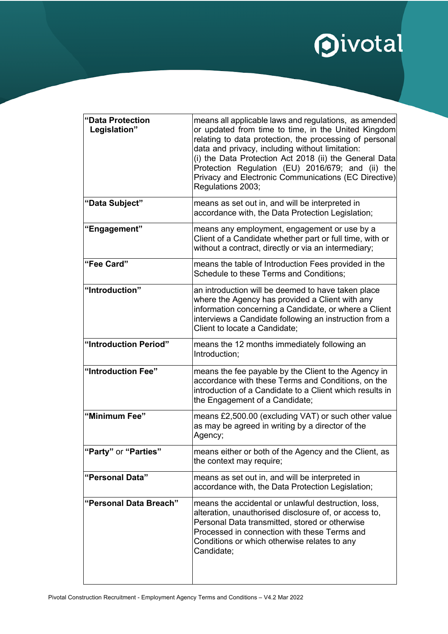# **Oivotal**

| "Data Protection<br>Legislation" | means all applicable laws and regulations, as amended<br>or updated from time to time, in the United Kingdom<br>relating to data protection, the processing of personal<br>data and privacy, including without limitation:<br>(i) the Data Protection Act 2018 (ii) the General Data<br>Protection Regulation (EU) 2016/679; and (ii) the<br>Privacy and Electronic Communications (EC Directive)<br>Regulations 2003; |
|----------------------------------|------------------------------------------------------------------------------------------------------------------------------------------------------------------------------------------------------------------------------------------------------------------------------------------------------------------------------------------------------------------------------------------------------------------------|
| "Data Subject"                   | means as set out in, and will be interpreted in<br>accordance with, the Data Protection Legislation;                                                                                                                                                                                                                                                                                                                   |
| "Engagement"                     | means any employment, engagement or use by a<br>Client of a Candidate whether part or full time, with or<br>without a contract, directly or via an intermediary;                                                                                                                                                                                                                                                       |
| "Fee Card"                       | means the table of Introduction Fees provided in the<br><b>Schedule to these Terms and Conditions:</b>                                                                                                                                                                                                                                                                                                                 |
| "Introduction"                   | an introduction will be deemed to have taken place<br>where the Agency has provided a Client with any<br>information concerning a Candidate, or where a Client<br>interviews a Candidate following an instruction from a<br>Client to locate a Candidate;                                                                                                                                                              |
| "Introduction Period"            | means the 12 months immediately following an<br>Introduction;                                                                                                                                                                                                                                                                                                                                                          |
| "Introduction Fee"               | means the fee payable by the Client to the Agency in<br>accordance with these Terms and Conditions, on the<br>introduction of a Candidate to a Client which results in<br>the Engagement of a Candidate;                                                                                                                                                                                                               |
| "Minimum Fee"                    | means £2,500.00 (excluding VAT) or such other value<br>as may be agreed in writing by a director of the<br>Agency;                                                                                                                                                                                                                                                                                                     |
| "Party" or "Parties"             | means either or both of the Agency and the Client, as<br>the context may require;                                                                                                                                                                                                                                                                                                                                      |
| "Personal Data"                  | means as set out in, and will be interpreted in<br>accordance with, the Data Protection Legislation;                                                                                                                                                                                                                                                                                                                   |
| "Personal Data Breach"           | means the accidental or unlawful destruction, loss,<br>alteration, unauthorised disclosure of, or access to,<br>Personal Data transmitted, stored or otherwise<br>Processed in connection with these Terms and<br>Conditions or which otherwise relates to any<br>Candidate;                                                                                                                                           |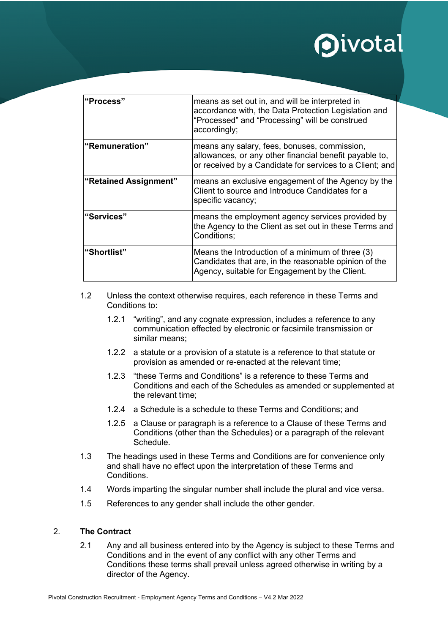| l"Process"            | means as set out in, and will be interpreted in<br>accordance with, the Data Protection Legislation and<br>"Processed" and "Processing" will be construed<br>accordingly; |
|-----------------------|---------------------------------------------------------------------------------------------------------------------------------------------------------------------------|
| l"Remuneration"       | means any salary, fees, bonuses, commission,<br>allowances, or any other financial benefit payable to,<br>or received by a Candidate for services to a Client; and        |
| "Retained Assignment" | means an exclusive engagement of the Agency by the<br>Client to source and Introduce Candidates for a<br>specific vacancy;                                                |
| "Services"            | means the employment agency services provided by<br>the Agency to the Client as set out in these Terms and<br>Conditions;                                                 |
| "Shortlist"           | Means the Introduction of a minimum of three (3)<br>Candidates that are, in the reasonable opinion of the<br>Agency, suitable for Engagement by the Client.               |

- 1.2 Unless the context otherwise requires, each reference in these Terms and Conditions to:
	- 1.2.1 "writing", and any cognate expression, includes a reference to any communication effected by electronic or facsimile transmission or similar means;
	- 1.2.2 a statute or a provision of a statute is a reference to that statute or provision as amended or re-enacted at the relevant time;
	- 1.2.3 "these Terms and Conditions" is a reference to these Terms and Conditions and each of the Schedules as amended or supplemented at the relevant time;
	- 1.2.4 a Schedule is a schedule to these Terms and Conditions; and
	- 1.2.5 a Clause or paragraph is a reference to a Clause of these Terms and Conditions (other than the Schedules) or a paragraph of the relevant Schedule.
- 1.3 The headings used in these Terms and Conditions are for convenience only and shall have no effect upon the interpretation of these Terms and **Conditions**
- 1.4 Words imparting the singular number shall include the plural and vice versa.
- 1.5 References to any gender shall include the other gender.

#### 2. **The Contract**

2.1 Any and all business entered into by the Agency is subject to these Terms and Conditions and in the event of any conflict with any other Terms and Conditions these terms shall prevail unless agreed otherwise in writing by a director of the Agency.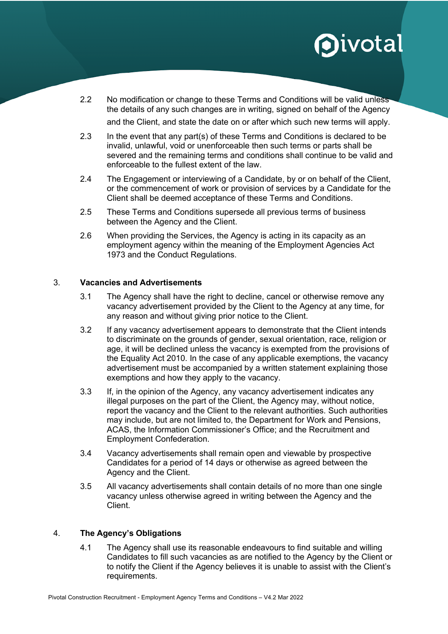2.2 No modification or change to these Terms and Conditions will be valid unless the details of any such changes are in writing, signed on behalf of the Agency

and the Client, and state the date on or after which such new terms will apply.

- 2.3 In the event that any part(s) of these Terms and Conditions is declared to be invalid, unlawful, void or unenforceable then such terms or parts shall be severed and the remaining terms and conditions shall continue to be valid and enforceable to the fullest extent of the law.
- 2.4 The Engagement or interviewing of a Candidate, by or on behalf of the Client, or the commencement of work or provision of services by a Candidate for the Client shall be deemed acceptance of these Terms and Conditions.
- 2.5 These Terms and Conditions supersede all previous terms of business between the Agency and the Client.
- 2.6 When providing the Services, the Agency is acting in its capacity as an employment agency within the meaning of the Employment Agencies Act 1973 and the Conduct Regulations.

#### 3. **Vacancies and Advertisements**

- 3.1 The Agency shall have the right to decline, cancel or otherwise remove any vacancy advertisement provided by the Client to the Agency at any time, for any reason and without giving prior notice to the Client.
- 3.2 If any vacancy advertisement appears to demonstrate that the Client intends to discriminate on the grounds of gender, sexual orientation, race, religion or age, it will be declined unless the vacancy is exempted from the provisions of the Equality Act 2010. In the case of any applicable exemptions, the vacancy advertisement must be accompanied by a written statement explaining those exemptions and how they apply to the vacancy.
- 3.3 If, in the opinion of the Agency, any vacancy advertisement indicates any illegal purposes on the part of the Client, the Agency may, without notice, report the vacancy and the Client to the relevant authorities. Such authorities may include, but are not limited to, the Department for Work and Pensions, ACAS, the Information Commissioner's Office; and the Recruitment and Employment Confederation.
- 3.4 Vacancy advertisements shall remain open and viewable by prospective Candidates for a period of 14 days or otherwise as agreed between the Agency and the Client.
- 3.5 All vacancy advertisements shall contain details of no more than one single vacancy unless otherwise agreed in writing between the Agency and the Client.

### 4. **The Agency's Obligations**

4.1 The Agency shall use its reasonable endeavours to find suitable and willing Candidates to fill such vacancies as are notified to the Agency by the Client or to notify the Client if the Agency believes it is unable to assist with the Client's requirements.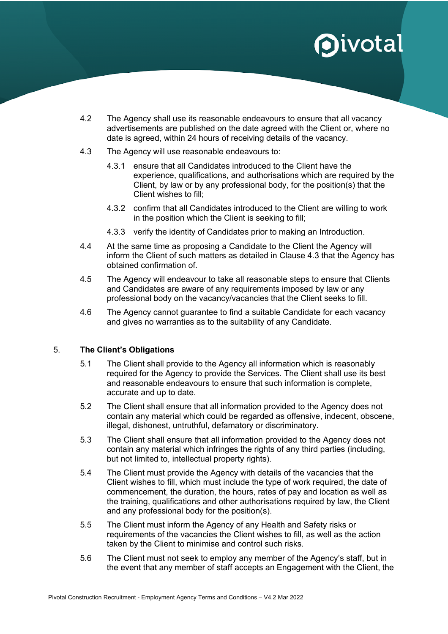- 4.2 The Agency shall use its reasonable endeavours to ensure that all vacancy advertisements are published on the date agreed with the Client or, where no date is agreed, within 24 hours of receiving details of the vacancy.
- 4.3 The Agency will use reasonable endeavours to:
	- 4.3.1 ensure that all Candidates introduced to the Client have the experience, qualifications, and authorisations which are required by the Client, by law or by any professional body, for the position(s) that the Client wishes to fill;
	- 4.3.2 confirm that all Candidates introduced to the Client are willing to work in the position which the Client is seeking to fill;
	- 4.3.3 verify the identity of Candidates prior to making an Introduction.
- 4.4 At the same time as proposing a Candidate to the Client the Agency will inform the Client of such matters as detailed in Clause 4.3 that the Agency has obtained confirmation of.
- 4.5 The Agency will endeavour to take all reasonable steps to ensure that Clients and Candidates are aware of any requirements imposed by law or any professional body on the vacancy/vacancies that the Client seeks to fill.
- 4.6 The Agency cannot guarantee to find a suitable Candidate for each vacancy and gives no warranties as to the suitability of any Candidate.

### 5. **The Client's Obligations**

- 5.1 The Client shall provide to the Agency all information which is reasonably required for the Agency to provide the Services. The Client shall use its best and reasonable endeavours to ensure that such information is complete, accurate and up to date.
- 5.2 The Client shall ensure that all information provided to the Agency does not contain any material which could be regarded as offensive, indecent, obscene, illegal, dishonest, untruthful, defamatory or discriminatory.
- 5.3 The Client shall ensure that all information provided to the Agency does not contain any material which infringes the rights of any third parties (including, but not limited to, intellectual property rights).
- 5.4 The Client must provide the Agency with details of the vacancies that the Client wishes to fill, which must include the type of work required, the date of commencement, the duration, the hours, rates of pay and location as well as the training, qualifications and other authorisations required by law, the Client and any professional body for the position(s).
- 5.5 The Client must inform the Agency of any Health and Safety risks or requirements of the vacancies the Client wishes to fill, as well as the action taken by the Client to minimise and control such risks.
- 5.6 The Client must not seek to employ any member of the Agency's staff, but in the event that any member of staff accepts an Engagement with the Client, the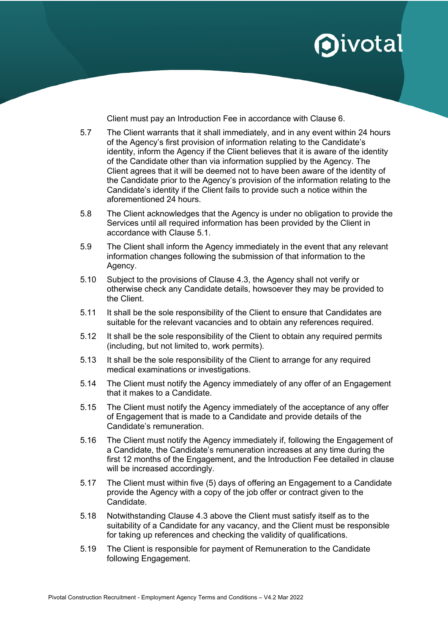Client must pay an Introduction Fee in accordance with Clause 6.

- 5.7 The Client warrants that it shall immediately, and in any event within 24 hours of the Agency's first provision of information relating to the Candidate's identity, inform the Agency if the Client believes that it is aware of the identity of the Candidate other than via information supplied by the Agency. The Client agrees that it will be deemed not to have been aware of the identity of the Candidate prior to the Agency's provision of the information relating to the Candidate's identity if the Client fails to provide such a notice within the aforementioned 24 hours.
- 5.8 The Client acknowledges that the Agency is under no obligation to provide the Services until all required information has been provided by the Client in accordance with Clause 5.1.
- 5.9 The Client shall inform the Agency immediately in the event that any relevant information changes following the submission of that information to the Agency.
- 5.10 Subject to the provisions of Clause 4.3, the Agency shall not verify or otherwise check any Candidate details, howsoever they may be provided to the Client.
- 5.11 It shall be the sole responsibility of the Client to ensure that Candidates are suitable for the relevant vacancies and to obtain any references required.
- 5.12 It shall be the sole responsibility of the Client to obtain any required permits (including, but not limited to, work permits).
- 5.13 It shall be the sole responsibility of the Client to arrange for any required medical examinations or investigations.
- 5.14 The Client must notify the Agency immediately of any offer of an Engagement that it makes to a Candidate.
- 5.15 The Client must notify the Agency immediately of the acceptance of any offer of Engagement that is made to a Candidate and provide details of the Candidate's remuneration.
- 5.16 The Client must notify the Agency immediately if, following the Engagement of a Candidate, the Candidate's remuneration increases at any time during the first 12 months of the Engagement, and the Introduction Fee detailed in clause will be increased accordingly.
- 5.17 The Client must within five (5) days of offering an Engagement to a Candidate provide the Agency with a copy of the job offer or contract given to the Candidate.
- 5.18 Notwithstanding Clause 4.3 above the Client must satisfy itself as to the suitability of a Candidate for any vacancy, and the Client must be responsible for taking up references and checking the validity of qualifications.
- 5.19 The Client is responsible for payment of Remuneration to the Candidate following Engagement.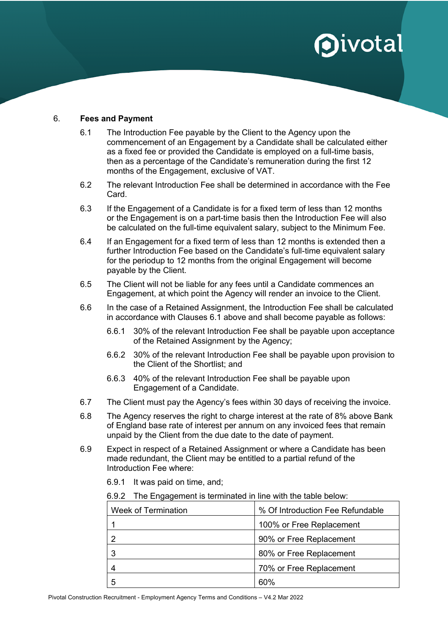#### 6. **Fees and Payment**

- 6.1 The Introduction Fee payable by the Client to the Agency upon the commencement of an Engagement by a Candidate shall be calculated either as a fixed fee or provided the Candidate is employed on a full-time basis, then as a percentage of the Candidate's remuneration during the first 12 months of the Engagement, exclusive of VAT.
- 6.2 The relevant Introduction Fee shall be determined in accordance with the Fee Card.
- 6.3 If the Engagement of a Candidate is for a fixed term of less than 12 months or the Engagement is on a part-time basis then the Introduction Fee will also be calculated on the full-time equivalent salary, subject to the Minimum Fee.
- 6.4 If an Engagement for a fixed term of less than 12 months is extended then a further Introduction Fee based on the Candidate's full-time equivalent salary for the periodup to 12 months from the original Engagement will become payable by the Client.
- 6.5 The Client will not be liable for any fees until a Candidate commences an Engagement, at which point the Agency will render an invoice to the Client.
- 6.6 In the case of a Retained Assignment, the Introduction Fee shall be calculated in accordance with Clauses 6.1 above and shall become payable as follows:
	- 6.6.1 30% of the relevant Introduction Fee shall be payable upon acceptance of the Retained Assignment by the Agency;
	- 6.6.2 30% of the relevant Introduction Fee shall be payable upon provision to the Client of the Shortlist; and
	- 6.6.3 40% of the relevant Introduction Fee shall be payable upon Engagement of a Candidate.
- 6.7 The Client must pay the Agency's fees within 30 days of receiving the invoice.
- 6.8 The Agency reserves the right to charge interest at the rate of 8% above Bank of England base rate of interest per annum on any invoiced fees that remain unpaid by the Client from the due date to the date of payment.
- 6.9 Expect in respect of a Retained Assignment or where a Candidate has been made redundant, the Client may be entitled to a partial refund of the Introduction Fee where:
	- 6.9.1 It was paid on time, and;
	- 6.9.2 The Engagement is terminated in line with the table below:

| Week of Termination | % Of Introduction Fee Refundable |
|---------------------|----------------------------------|
|                     | 100% or Free Replacement         |
|                     | 90% or Free Replacement          |
|                     | 80% or Free Replacement          |
|                     | 70% or Free Replacement          |
|                     | 60%                              |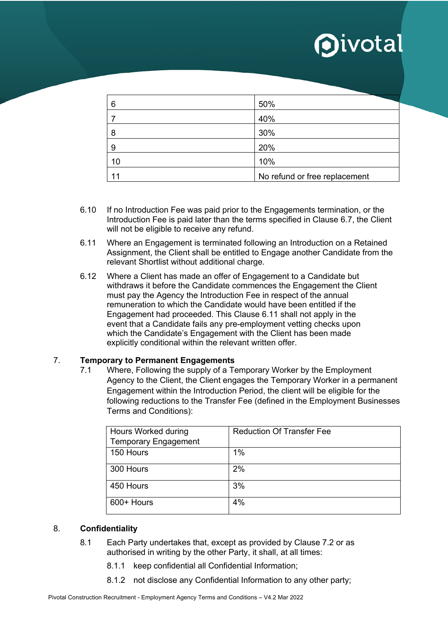| 6  | 50%                           |
|----|-------------------------------|
|    | 40%                           |
| 8  | 30%                           |
| 9  | 20%                           |
| 10 | 10%                           |
| 44 | No refund or free replacement |

- 6.10 If no Introduction Fee was paid prior to the Engagements termination, or the Introduction Fee is paid later than the terms specified in Clause 6.7, the Client will not be eligible to receive any refund.
- 6.11 Where an Engagement is terminated following an Introduction on a Retained Assignment, the Client shall be entitled to Engage another Candidate from the relevant Shortlist without additional charge.
- 6.12 Where a Client has made an offer of Engagement to a Candidate but withdraws it before the Candidate commences the Engagement the Client must pay the Agency the Introduction Fee in respect of the annual remuneration to which the Candidate would have been entitled if the Engagement had proceeded. This Clause 6.11 shall not apply in the event that a Candidate fails any pre-employment vetting checks upon which the Candidate's Engagement with the Client has been made explicitly conditional within the relevant written offer.

### 7. **Temporary to Permanent Engagements**

7.1 Where, Following the supply of a Temporary Worker by the Employment Agency to the Client, the Client engages the Temporary Worker in a permanent Engagement within the Introduction Period, the client will be eligible for the following reductions to the Transfer Fee (defined in the Employment Businesses Terms and Conditions):

| Hours Worked during         | <b>Reduction Of Transfer Fee</b> |
|-----------------------------|----------------------------------|
| <b>Temporary Engagement</b> |                                  |
| 150 Hours                   | 1%                               |
| 300 Hours                   | 2%                               |
| 450 Hours                   | 3%                               |
| 600+ Hours                  | 4%                               |

### 8. **Confidentiality**

- 8.1 Each Party undertakes that, except as provided by Clause 7.2 or as authorised in writing by the other Party, it shall, at all times:
	- 8.1.1 keep confidential all Confidential Information;
	- 8.1.2 not disclose any Confidential Information to any other party;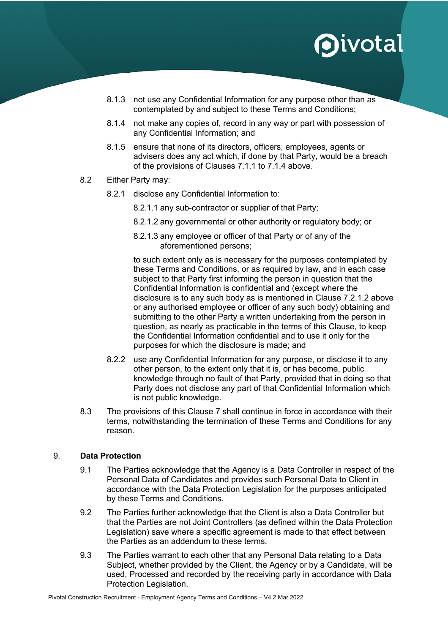- 8.1.3 not use any Confidential Information for any purpose other than as contemplated by and subject to these Terms and Conditions;
- 8.1.4 not make any copies of, record in any way or part with possession of any Confidential Information; and
- 8.1.5 ensure that none of its directors, officers, employees, agents or advisers does any act which, if done by that Party, would be a breach of the provisions of Clauses 7.1.1 to 7.1.4 above.
- 8.2 Either Party may:
	- 8.2.1 disclose any Confidential Information to:
		- 8.2.1.1 any sub-contractor or supplier of that Party;
		- 8.2.1.2 any governmental or other authority or regulatory body; or
		- 8.2.1.3 any employee or officer of that Party or of any of the aforementioned persons;

to such extent only as is necessary for the purposes contemplated by these Terms and Conditions, or as required by law, and in each case subject to that Party first informing the person in question that the Confidential Information is confidential and (except where the disclosure is to any such body as is mentioned in Clause 7.2.1.2 above or any authorised employee or officer of any such body) obtaining and submitting to the other Party a written undertaking from the person in question, as nearly as practicable in the terms of this Clause, to keep the Confidential Information confidential and to use it only for the purposes for which the disclosure is made; and

- 8.2.2 use any Confidential Information for any purpose, or disclose it to any other person, to the extent only that it is, or has become, public knowledge through no fault of that Party, provided that in doing so that Party does not disclose any part of that Confidential Information which is not public knowledge.
- 8.3 The provisions of this Clause 7 shall continue in force in accordance with their terms, notwithstanding the termination of these Terms and Conditions for any reason.

### 9. **Data Protection**

- 9.1 The Parties acknowledge that the Agency is a Data Controller in respect of the Personal Data of Candidates and provides such Personal Data to Client in accordance with the Data Protection Legislation for the purposes anticipated by these Terms and Conditions.
- 9.2 The Parties further acknowledge that the Client is also a Data Controller but that the Parties are not Joint Controllers (as defined within the Data Protection Legislation) save where a specific agreement is made to that effect between the Parties as an addendum to these terms.
- 9.3 The Parties warrant to each other that any Personal Data relating to a Data Subject, whether provided by the Client, the Agency or by a Candidate, will be used, Processed and recorded by the receiving party in accordance with Data Protection Legislation.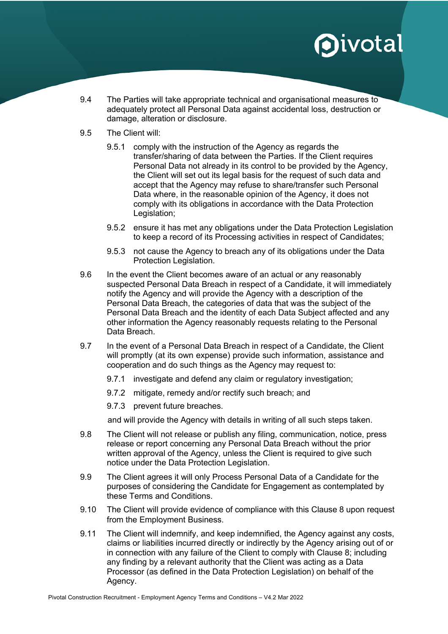- 9.4 The Parties will take appropriate technical and organisational measures to adequately protect all Personal Data against accidental loss, destruction or damage, alteration or disclosure.
- 9.5 The Client will:
	- 9.5.1 comply with the instruction of the Agency as regards the transfer/sharing of data between the Parties. If the Client requires Personal Data not already in its control to be provided by the Agency, the Client will set out its legal basis for the request of such data and accept that the Agency may refuse to share/transfer such Personal Data where, in the reasonable opinion of the Agency, it does not comply with its obligations in accordance with the Data Protection Legislation;
	- 9.5.2 ensure it has met any obligations under the Data Protection Legislation to keep a record of its Processing activities in respect of Candidates;
	- 9.5.3 not cause the Agency to breach any of its obligations under the Data Protection Legislation.
- 9.6 In the event the Client becomes aware of an actual or any reasonably suspected Personal Data Breach in respect of a Candidate, it will immediately notify the Agency and will provide the Agency with a description of the Personal Data Breach, the categories of data that was the subject of the Personal Data Breach and the identity of each Data Subject affected and any other information the Agency reasonably requests relating to the Personal Data Breach.
- 9.7 In the event of a Personal Data Breach in respect of a Candidate, the Client will promptly (at its own expense) provide such information, assistance and cooperation and do such things as the Agency may request to:
	- 9.7.1 investigate and defend any claim or regulatory investigation;
	- 9.7.2 mitigate, remedy and/or rectify such breach; and
	- 9.7.3 prevent future breaches.

and will provide the Agency with details in writing of all such steps taken.

- 9.8 The Client will not release or publish any filing, communication, notice, press release or report concerning any Personal Data Breach without the prior written approval of the Agency, unless the Client is required to give such notice under the Data Protection Legislation.
- 9.9 The Client agrees it will only Process Personal Data of a Candidate for the purposes of considering the Candidate for Engagement as contemplated by these Terms and Conditions.
- 9.10 The Client will provide evidence of compliance with this Clause 8 upon request from the Employment Business.
- 9.11 The Client will indemnify, and keep indemnified, the Agency against any costs, claims or liabilities incurred directly or indirectly by the Agency arising out of or in connection with any failure of the Client to comply with Clause 8; including any finding by a relevant authority that the Client was acting as a Data Processor (as defined in the Data Protection Legislation) on behalf of the Agency.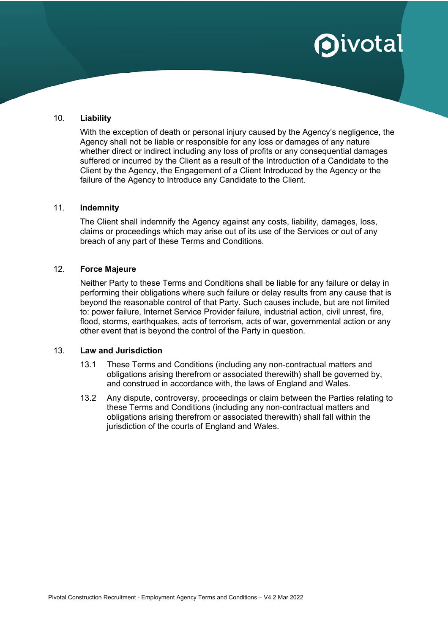#### 10. **Liability**

With the exception of death or personal injury caused by the Agency's negligence, the Agency shall not be liable or responsible for any loss or damages of any nature whether direct or indirect including any loss of profits or any consequential damages suffered or incurred by the Client as a result of the Introduction of a Candidate to the Client by the Agency, the Engagement of a Client Introduced by the Agency or the failure of the Agency to Introduce any Candidate to the Client.

#### 11. **Indemnity**

The Client shall indemnify the Agency against any costs, liability, damages, loss, claims or proceedings which may arise out of its use of the Services or out of any breach of any part of these Terms and Conditions.

#### 12. **Force Majeure**

Neither Party to these Terms and Conditions shall be liable for any failure or delay in performing their obligations where such failure or delay results from any cause that is beyond the reasonable control of that Party. Such causes include, but are not limited to: power failure, Internet Service Provider failure, industrial action, civil unrest, fire, flood, storms, earthquakes, acts of terrorism, acts of war, governmental action or any other event that is beyond the control of the Party in question.

#### 13. **Law and Jurisdiction**

- 13.1 These Terms and Conditions (including any non-contractual matters and obligations arising therefrom or associated therewith) shall be governed by, and construed in accordance with, the laws of England and Wales.
- 13.2 Any dispute, controversy, proceedings or claim between the Parties relating to these Terms and Conditions (including any non-contractual matters and obligations arising therefrom or associated therewith) shall fall within the jurisdiction of the courts of England and Wales.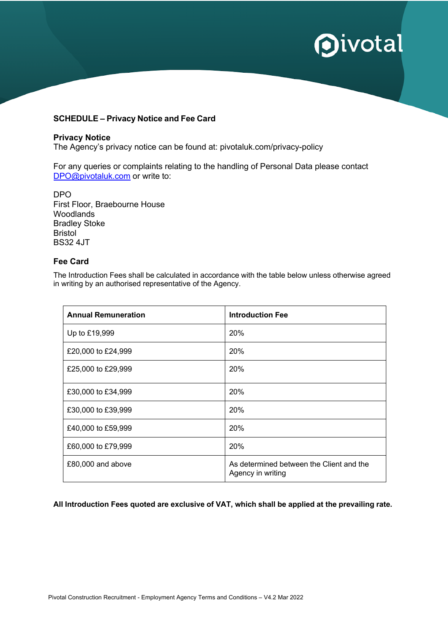#### **SCHEDULE – Privacy Notice and Fee Card**

#### **Privacy Notice**

The Agency's privacy notice can be found at: pivotaluk.com/privacy-policy

For any queries or complaints relating to the handling of Personal Data please contact DPO@pivotaluk.com or write to:

DPO First Floor, Braebourne House Woodlands Bradley Stoke Bristol BS32 4JT

#### **Fee Card**

The Introduction Fees shall be calculated in accordance with the table below unless otherwise agreed in writing by an authorised representative of the Agency.

| <b>Annual Remuneration</b> | <b>Introduction Fee</b>                                       |
|----------------------------|---------------------------------------------------------------|
| Up to £19,999              | <b>20%</b>                                                    |
| £20,000 to £24,999         | 20%                                                           |
| £25,000 to £29,999         | 20%                                                           |
| £30,000 to £34,999         | 20%                                                           |
| £30,000 to £39,999         | <b>20%</b>                                                    |
| £40,000 to £59,999         | <b>20%</b>                                                    |
| £60,000 to £79,999         | 20%                                                           |
| £80,000 and above          | As determined between the Client and the<br>Agency in writing |

#### **All Introduction Fees quoted are exclusive of VAT, which shall be applied at the prevailing rate.**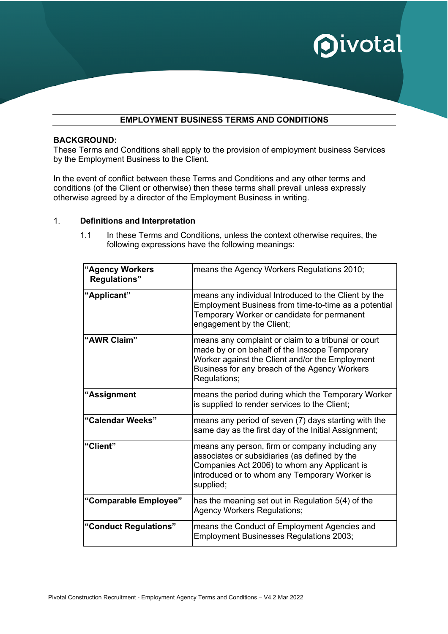

### **EMPLOYMENT BUSINESS TERMS AND CONDITIONS**

#### **BACKGROUND:**

These Terms and Conditions shall apply to the provision of employment business Services by the Employment Business to the Client.

In the event of conflict between these Terms and Conditions and any other terms and conditions (of the Client or otherwise) then these terms shall prevail unless expressly otherwise agreed by a director of the Employment Business in writing.

#### 1. **Definitions and Interpretation**

1.1 In these Terms and Conditions, unless the context otherwise requires, the following expressions have the following meanings:

| "Agency Workers<br><b>Regulations"</b> | means the Agency Workers Regulations 2010;                                                                                                                                                                               |
|----------------------------------------|--------------------------------------------------------------------------------------------------------------------------------------------------------------------------------------------------------------------------|
| "Applicant"                            | means any individual Introduced to the Client by the<br>Employment Business from time-to-time as a potential<br>Temporary Worker or candidate for permanent<br>engagement by the Client;                                 |
| "AWR Claim"                            | means any complaint or claim to a tribunal or court<br>made by or on behalf of the Inscope Temporary<br>Worker against the Client and/or the Employment<br>Business for any breach of the Agency Workers<br>Regulations; |
| "Assignment                            | means the period during which the Temporary Worker<br>is supplied to render services to the Client;                                                                                                                      |
| "Calendar Weeks"                       | means any period of seven (7) days starting with the<br>same day as the first day of the Initial Assignment;                                                                                                             |
| "Client"                               | means any person, firm or company including any<br>associates or subsidiaries (as defined by the<br>Companies Act 2006) to whom any Applicant is<br>introduced or to whom any Temporary Worker is<br>supplied;           |
| "Comparable Employee"                  | has the meaning set out in Regulation 5(4) of the<br><b>Agency Workers Regulations;</b>                                                                                                                                  |
| "Conduct Regulations"                  | means the Conduct of Employment Agencies and<br><b>Employment Businesses Regulations 2003;</b>                                                                                                                           |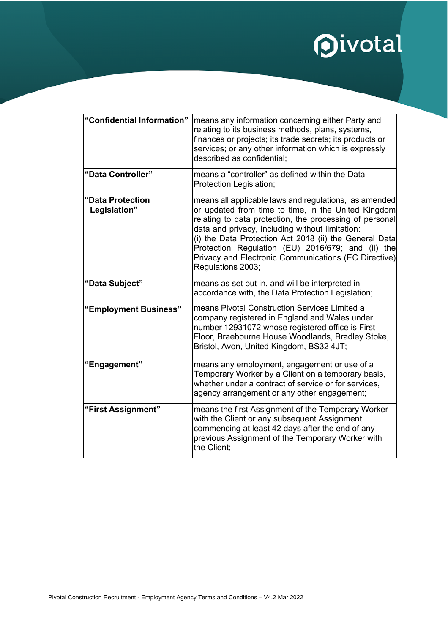# **Oivotal**

| "Confidential Information"       | means any information concerning either Party and<br>relating to its business methods, plans, systems,<br>finances or projects; its trade secrets; its products or<br>services; or any other information which is expressly<br>described as confidential;                                                                                                                                                              |
|----------------------------------|------------------------------------------------------------------------------------------------------------------------------------------------------------------------------------------------------------------------------------------------------------------------------------------------------------------------------------------------------------------------------------------------------------------------|
| "Data Controller"                | means a "controller" as defined within the Data<br>Protection Legislation;                                                                                                                                                                                                                                                                                                                                             |
| "Data Protection<br>Legislation" | means all applicable laws and regulations, as amended<br>or updated from time to time, in the United Kingdom<br>relating to data protection, the processing of personal<br>data and privacy, including without limitation:<br>(i) the Data Protection Act 2018 (ii) the General Data<br>Protection Regulation (EU) 2016/679; and (ii) the<br>Privacy and Electronic Communications (EC Directive)<br>Regulations 2003; |
| "Data Subject"                   | means as set out in, and will be interpreted in<br>accordance with, the Data Protection Legislation;                                                                                                                                                                                                                                                                                                                   |
| "Employment Business"            | means Pivotal Construction Services Limited a<br>company registered in England and Wales under<br>number 12931072 whose registered office is First<br>Floor, Braebourne House Woodlands, Bradley Stoke,<br>Bristol, Avon, United Kingdom, BS32 4JT;                                                                                                                                                                    |
| "Engagement"                     | means any employment, engagement or use of a<br>Temporary Worker by a Client on a temporary basis,<br>whether under a contract of service or for services,<br>agency arrangement or any other engagement;                                                                                                                                                                                                              |
| "First Assignment"               | means the first Assignment of the Temporary Worker<br>with the Client or any subsequent Assignment<br>commencing at least 42 days after the end of any<br>previous Assignment of the Temporary Worker with<br>the Client:                                                                                                                                                                                              |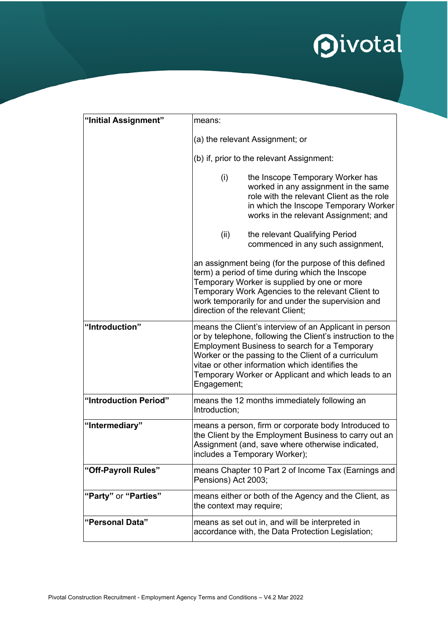

| "Initial Assignment"  | means:                                                                                                                                                                                                                                                                                                                                                       |                                                                                                                                                                                                                                                                                                        |
|-----------------------|--------------------------------------------------------------------------------------------------------------------------------------------------------------------------------------------------------------------------------------------------------------------------------------------------------------------------------------------------------------|--------------------------------------------------------------------------------------------------------------------------------------------------------------------------------------------------------------------------------------------------------------------------------------------------------|
|                       | (a) the relevant Assignment; or                                                                                                                                                                                                                                                                                                                              |                                                                                                                                                                                                                                                                                                        |
|                       | (b) if, prior to the relevant Assignment:                                                                                                                                                                                                                                                                                                                    |                                                                                                                                                                                                                                                                                                        |
|                       | (i)                                                                                                                                                                                                                                                                                                                                                          | the Inscope Temporary Worker has<br>worked in any assignment in the same<br>role with the relevant Client as the role<br>in which the Inscope Temporary Worker<br>works in the relevant Assignment; and                                                                                                |
|                       | (ii)                                                                                                                                                                                                                                                                                                                                                         | the relevant Qualifying Period<br>commenced in any such assignment,                                                                                                                                                                                                                                    |
|                       |                                                                                                                                                                                                                                                                                                                                                              | an assignment being (for the purpose of this defined<br>term) a period of time during which the Inscope<br>Temporary Worker is supplied by one or more<br>Temporary Work Agencies to the relevant Client to<br>work temporarily for and under the supervision and<br>direction of the relevant Client; |
| "Introduction"        | means the Client's interview of an Applicant in person<br>or by telephone, following the Client's instruction to the<br><b>Employment Business to search for a Temporary</b><br>Worker or the passing to the Client of a curriculum<br>vitae or other information which identifies the<br>Temporary Worker or Applicant and which leads to an<br>Engagement; |                                                                                                                                                                                                                                                                                                        |
| "Introduction Period" | Introduction;                                                                                                                                                                                                                                                                                                                                                | means the 12 months immediately following an                                                                                                                                                                                                                                                           |
| "Intermediary"        |                                                                                                                                                                                                                                                                                                                                                              | means a person, firm or corporate body Introduced to<br>the Client by the Employment Business to carry out an<br>Assignment (and, save where otherwise indicated,<br>includes a Temporary Worker);                                                                                                     |
| "Off-Payroll Rules"   | Pensions) Act 2003;                                                                                                                                                                                                                                                                                                                                          | means Chapter 10 Part 2 of Income Tax (Earnings and                                                                                                                                                                                                                                                    |
| "Party" or "Parties"  | the context may require;                                                                                                                                                                                                                                                                                                                                     | means either or both of the Agency and the Client, as                                                                                                                                                                                                                                                  |
| "Personal Data"       |                                                                                                                                                                                                                                                                                                                                                              | means as set out in, and will be interpreted in<br>accordance with, the Data Protection Legislation;                                                                                                                                                                                                   |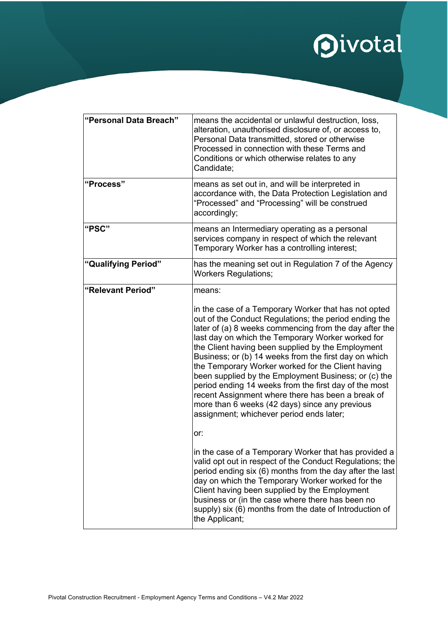

| "Personal Data Breach" | means the accidental or unlawful destruction, loss,<br>alteration, unauthorised disclosure of, or access to,<br>Personal Data transmitted, stored or otherwise<br>Processed in connection with these Terms and<br>Conditions or which otherwise relates to any<br>Candidate;                                                                                                                                                                                                                                                                                                                                                                                        |
|------------------------|---------------------------------------------------------------------------------------------------------------------------------------------------------------------------------------------------------------------------------------------------------------------------------------------------------------------------------------------------------------------------------------------------------------------------------------------------------------------------------------------------------------------------------------------------------------------------------------------------------------------------------------------------------------------|
| "Process"              | means as set out in, and will be interpreted in<br>accordance with, the Data Protection Legislation and<br>"Processed" and "Processing" will be construed<br>accordingly;                                                                                                                                                                                                                                                                                                                                                                                                                                                                                           |
| "PSC"                  | means an Intermediary operating as a personal<br>services company in respect of which the relevant<br>Temporary Worker has a controlling interest;                                                                                                                                                                                                                                                                                                                                                                                                                                                                                                                  |
| "Qualifying Period"    | has the meaning set out in Regulation 7 of the Agency<br><b>Workers Regulations;</b>                                                                                                                                                                                                                                                                                                                                                                                                                                                                                                                                                                                |
| "Relevant Period"      | means:                                                                                                                                                                                                                                                                                                                                                                                                                                                                                                                                                                                                                                                              |
|                        | in the case of a Temporary Worker that has not opted<br>out of the Conduct Regulations; the period ending the<br>later of (a) 8 weeks commencing from the day after the<br>last day on which the Temporary Worker worked for<br>the Client having been supplied by the Employment<br>Business; or (b) 14 weeks from the first day on which<br>the Temporary Worker worked for the Client having<br>been supplied by the Employment Business; or (c) the<br>period ending 14 weeks from the first day of the most<br>recent Assignment where there has been a break of<br>more than 6 weeks (42 days) since any previous<br>assignment; whichever period ends later; |
|                        | or:                                                                                                                                                                                                                                                                                                                                                                                                                                                                                                                                                                                                                                                                 |
|                        | in the case of a Temporary Worker that has provided a<br>valid opt out in respect of the Conduct Regulations; the<br>period ending six (6) months from the day after the last<br>day on which the Temporary Worker worked for the<br>Client having been supplied by the Employment<br>business or (in the case where there has been no<br>supply) six (6) months from the date of Introduction of<br>the Applicant;                                                                                                                                                                                                                                                 |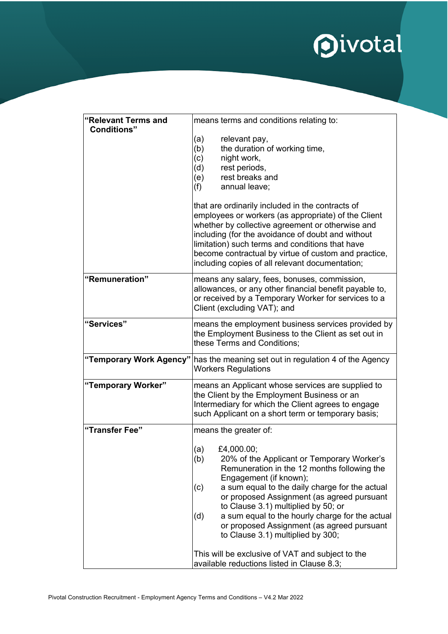

| "Relevant Terms and<br><b>Conditions</b> " | means terms and conditions relating to:                                                                                                                                                                                                                                                                                                                                                                                                   |  |  |
|--------------------------------------------|-------------------------------------------------------------------------------------------------------------------------------------------------------------------------------------------------------------------------------------------------------------------------------------------------------------------------------------------------------------------------------------------------------------------------------------------|--|--|
|                                            | (a)<br>relevant pay,<br>the duration of working time,<br>(b)<br>night work,<br>(c)<br>rest periods,<br>(d)<br>rest breaks and<br>(e)<br>(f)<br>annual leave:                                                                                                                                                                                                                                                                              |  |  |
|                                            | that are ordinarily included in the contracts of<br>employees or workers (as appropriate) of the Client<br>whether by collective agreement or otherwise and<br>including (for the avoidance of doubt and without<br>limitation) such terms and conditions that have<br>become contractual by virtue of custom and practice,<br>including copies of all relevant documentation;                                                            |  |  |
| "Remuneration"                             | means any salary, fees, bonuses, commission,<br>allowances, or any other financial benefit payable to,<br>or received by a Temporary Worker for services to a<br>Client (excluding VAT); and                                                                                                                                                                                                                                              |  |  |
| "Services"                                 | means the employment business services provided by<br>the Employment Business to the Client as set out in<br>these Terms and Conditions;                                                                                                                                                                                                                                                                                                  |  |  |
| "Temporary Work Agency"                    | has the meaning set out in regulation 4 of the Agency<br><b>Workers Regulations</b>                                                                                                                                                                                                                                                                                                                                                       |  |  |
| "Temporary Worker"                         | means an Applicant whose services are supplied to<br>the Client by the Employment Business or an<br>Intermediary for which the Client agrees to engage<br>such Applicant on a short term or temporary basis;                                                                                                                                                                                                                              |  |  |
| "Transfer Fee"                             | means the greater of:                                                                                                                                                                                                                                                                                                                                                                                                                     |  |  |
|                                            | (a) $£4,000.00;$<br>(b)<br>20% of the Applicant or Temporary Worker's<br>Remuneration in the 12 months following the<br>Engagement (if known);<br>a sum equal to the daily charge for the actual<br>(c)<br>or proposed Assignment (as agreed pursuant<br>to Clause 3.1) multiplied by 50; or<br>a sum equal to the hourly charge for the actual<br>(d)<br>or proposed Assignment (as agreed pursuant<br>to Clause 3.1) multiplied by 300; |  |  |
|                                            | This will be exclusive of VAT and subject to the<br>available reductions listed in Clause 8.3;                                                                                                                                                                                                                                                                                                                                            |  |  |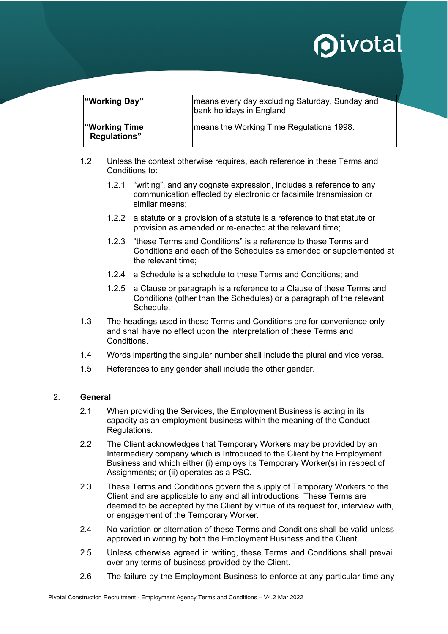| "Working Day"                              | means every day excluding Saturday, Sunday and<br>bank holidays in England; |
|--------------------------------------------|-----------------------------------------------------------------------------|
| <b>Working Time</b><br><b>Regulations"</b> | means the Working Time Regulations 1998.                                    |

- 1.2 Unless the context otherwise requires, each reference in these Terms and Conditions to:
	- 1.2.1 "writing", and any cognate expression, includes a reference to any communication effected by electronic or facsimile transmission or similar means;
	- 1.2.2 a statute or a provision of a statute is a reference to that statute or provision as amended or re-enacted at the relevant time;
	- 1.2.3 "these Terms and Conditions" is a reference to these Terms and Conditions and each of the Schedules as amended or supplemented at the relevant time;
	- 1.2.4 a Schedule is a schedule to these Terms and Conditions; and
	- 1.2.5 a Clause or paragraph is a reference to a Clause of these Terms and Conditions (other than the Schedules) or a paragraph of the relevant Schedule.
- 1.3 The headings used in these Terms and Conditions are for convenience only and shall have no effect upon the interpretation of these Terms and **Conditions**
- 1.4 Words imparting the singular number shall include the plural and vice versa.
- 1.5 References to any gender shall include the other gender.

### 2. **General**

- 2.1 When providing the Services, the Employment Business is acting in its capacity as an employment business within the meaning of the Conduct Regulations.
- 2.2 The Client acknowledges that Temporary Workers may be provided by an Intermediary company which is Introduced to the Client by the Employment Business and which either (i) employs its Temporary Worker(s) in respect of Assignments; or (ii) operates as a PSC.
- 2.3 These Terms and Conditions govern the supply of Temporary Workers to the Client and are applicable to any and all introductions. These Terms are deemed to be accepted by the Client by virtue of its request for, interview with, or engagement of the Temporary Worker.
- 2.4 No variation or alternation of these Terms and Conditions shall be valid unless approved in writing by both the Employment Business and the Client.
- 2.5 Unless otherwise agreed in writing, these Terms and Conditions shall prevail over any terms of business provided by the Client.
- 2.6 The failure by the Employment Business to enforce at any particular time any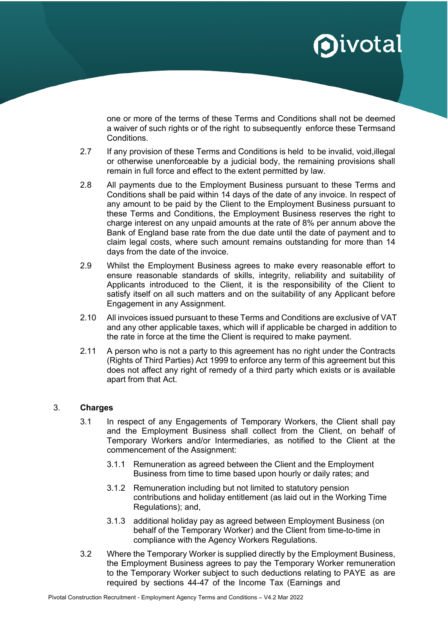one or more of the terms of these Terms and Conditions shall not be deemed a waiver of such rights or of the right to subsequently enforce these Termsand **Conditions** 

- 2.7 If any provision of these Terms and Conditions is held to be invalid, void,illegal or otherwise unenforceable by a judicial body, the remaining provisions shall remain in full force and effect to the extent permitted by law.
- 2.8 All payments due to the Employment Business pursuant to these Terms and Conditions shall be paid within 14 days of the date of any invoice. In respect of any amount to be paid by the Client to the Employment Business pursuant to these Terms and Conditions, the Employment Business reserves the right to charge interest on any unpaid amounts at the rate of 8% per annum above the Bank of England base rate from the due date until the date of payment and to claim legal costs, where such amount remains outstanding for more than 14 days from the date of the invoice.
- 2.9 Whilst the Employment Business agrees to make every reasonable effort to ensure reasonable standards of skills, integrity, reliability and suitability of Applicants introduced to the Client, it is the responsibility of the Client to satisfy itself on all such matters and on the suitability of any Applicant before Engagement in any Assignment.
- 2.10 All invoices issued pursuant to these Terms and Conditions are exclusive of VAT and any other applicable taxes, which will if applicable be charged in addition to the rate in force at the time the Client is required to make payment.
- 2.11 A person who is not a party to this agreement has no right under the Contracts (Rights of Third Parties) Act 1999 to enforce any term of this agreement but this does not affect any right of remedy of a third party which exists or is available apart from that Act.

### 3. **Charges**

- 3.1 In respect of any Engagements of Temporary Workers, the Client shall pay and the Employment Business shall collect from the Client, on behalf of Temporary Workers and/or Intermediaries, as notified to the Client at the commencement of the Assignment:
	- 3.1.1 Remuneration as agreed between the Client and the Employment Business from time to time based upon hourly or daily rates; and
	- 3.1.2 Remuneration including but not limited to statutory pension contributions and holiday entitlement (as laid out in the Working Time Regulations); and,
	- 3.1.3 additional holiday pay as agreed between Employment Business (on behalf of the Temporary Worker) and the Client from time-to-time in compliance with the Agency Workers Regulations.
- 3.2 Where the Temporary Worker is supplied directly by the Employment Business, the Employment Business agrees to pay the Temporary Worker remuneration to the Temporary Worker subject to such deductions relating to PAYE as are required by sections 44-47 of the Income Tax (Earnings and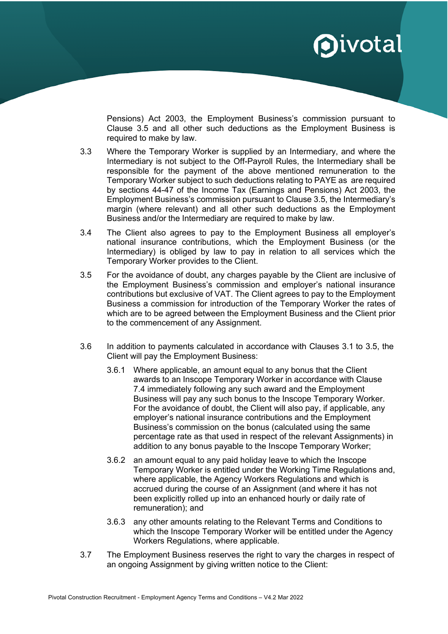

Pensions) Act 2003, the Employment Business's commission pursuant to Clause 3.5 and all other such deductions as the Employment Business is required to make by law.

- 3.3 Where the Temporary Worker is supplied by an Intermediary, and where the Intermediary is not subject to the Off-Payroll Rules, the Intermediary shall be responsible for the payment of the above mentioned remuneration to the Temporary Worker subject to such deductions relating to PAYE as are required by sections 44-47 of the Income Tax (Earnings and Pensions) Act 2003, the Employment Business's commission pursuant to Clause 3.5, the Intermediary's margin (where relevant) and all other such deductions as the Employment Business and/or the Intermediary are required to make by law.
- 3.4 The Client also agrees to pay to the Employment Business all employer's national insurance contributions, which the Employment Business (or the Intermediary) is obliged by law to pay in relation to all services which the Temporary Worker provides to the Client.
- 3.5 For the avoidance of doubt, any charges payable by the Client are inclusive of the Employment Business's commission and employer's national insurance contributions but exclusive of VAT. The Client agrees to pay to the Employment Business a commission for introduction of the Temporary Worker the rates of which are to be agreed between the Employment Business and the Client prior to the commencement of any Assignment.
- 3.6 In addition to payments calculated in accordance with Clauses 3.1 to 3.5, the Client will pay the Employment Business:
	- 3.6.1 Where applicable, an amount equal to any bonus that the Client awards to an Inscope Temporary Worker in accordance with Clause 7.4 immediately following any such award and the Employment Business will pay any such bonus to the Inscope Temporary Worker. For the avoidance of doubt, the Client will also pay, if applicable, any employer's national insurance contributions and the Employment Business's commission on the bonus (calculated using the same percentage rate as that used in respect of the relevant Assignments) in addition to any bonus payable to the Inscope Temporary Worker;
	- 3.6.2 an amount equal to any paid holiday leave to which the Inscope Temporary Worker is entitled under the Working Time Regulations and, where applicable, the Agency Workers Regulations and which is accrued during the course of an Assignment (and where it has not been explicitly rolled up into an enhanced hourly or daily rate of remuneration); and
	- 3.6.3 any other amounts relating to the Relevant Terms and Conditions to which the Inscope Temporary Worker will be entitled under the Agency Workers Regulations, where applicable.
- 3.7 The Employment Business reserves the right to vary the charges in respect of an ongoing Assignment by giving written notice to the Client: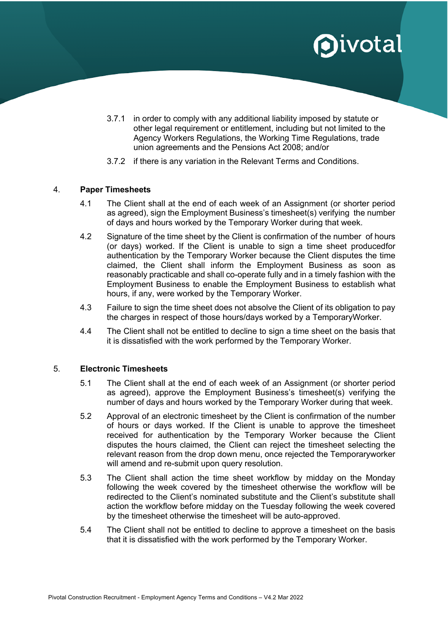- 3.7.1 in order to comply with any additional liability imposed by statute or other legal requirement or entitlement, including but not limited to the Agency Workers Regulations, the Working Time Regulations, trade union agreements and the Pensions Act 2008; and/or
- 3.7.2 if there is any variation in the Relevant Terms and Conditions.

### 4. **Paper Timesheets**

- 4.1 The Client shall at the end of each week of an Assignment (or shorter period as agreed), sign the Employment Business's timesheet(s) verifying the number of days and hours worked by the Temporary Worker during that week.
- 4.2 Signature of the time sheet by the Client is confirmation of the number of hours (or days) worked. If the Client is unable to sign a time sheet producedfor authentication by the Temporary Worker because the Client disputes the time claimed, the Client shall inform the Employment Business as soon as reasonably practicable and shall co-operate fully and in a timely fashion with the Employment Business to enable the Employment Business to establish what hours, if any, were worked by the Temporary Worker.
- 4.3 Failure to sign the time sheet does not absolve the Client of its obligation to pay the charges in respect of those hours/days worked by a TemporaryWorker.
- 4.4 The Client shall not be entitled to decline to sign a time sheet on the basis that it is dissatisfied with the work performed by the Temporary Worker.

### 5. **Electronic Timesheets**

- 5.1 The Client shall at the end of each week of an Assignment (or shorter period as agreed), approve the Employment Business's timesheet(s) verifying the number of days and hours worked by the Temporary Worker during that week.
- 5.2 Approval of an electronic timesheet by the Client is confirmation of the number of hours or days worked. If the Client is unable to approve the timesheet received for authentication by the Temporary Worker because the Client disputes the hours claimed, the Client can reject the timesheet selecting the relevant reason from the drop down menu, once rejected the Temporaryworker will amend and re-submit upon query resolution.
- 5.3 The Client shall action the time sheet workflow by midday on the Monday following the week covered by the timesheet otherwise the workflow will be redirected to the Client's nominated substitute and the Client's substitute shall action the workflow before midday on the Tuesday following the week covered by the timesheet otherwise the timesheet will be auto-approved.
- 5.4 The Client shall not be entitled to decline to approve a timesheet on the basis that it is dissatisfied with the work performed by the Temporary Worker.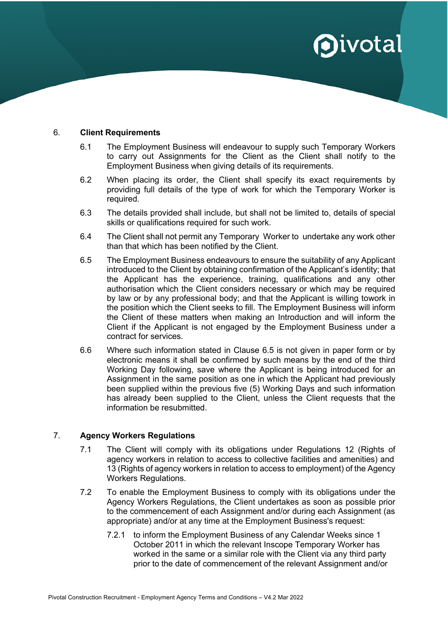#### 6. **Client Requirements**

- 6.1 The Employment Business will endeavour to supply such Temporary Workers to carry out Assignments for the Client as the Client shall notify to the Employment Business when giving details of its requirements.
- 6.2 When placing its order, the Client shall specify its exact requirements by providing full details of the type of work for which the Temporary Worker is required.
- 6.3 The details provided shall include, but shall not be limited to, details of special skills or qualifications required for such work.
- 6.4 The Client shall not permit any Temporary Worker to undertake any work other than that which has been notified by the Client.
- 6.5 The Employment Business endeavours to ensure the suitability of any Applicant introduced to the Client by obtaining confirmation of the Applicant's identity; that the Applicant has the experience, training, qualifications and any other authorisation which the Client considers necessary or which may be required by law or by any professional body; and that the Applicant is willing towork in the position which the Client seeks to fill. The Employment Business will inform the Client of these matters when making an Introduction and will inform the Client if the Applicant is not engaged by the Employment Business under a contract for services.
- 6.6 Where such information stated in Clause 6.5 is not given in paper form or by electronic means it shall be confirmed by such means by the end of the third Working Day following, save where the Applicant is being introduced for an Assignment in the same position as one in which the Applicant had previously been supplied within the previous five (5) Working Days and such information has already been supplied to the Client, unless the Client requests that the information be resubmitted.

### 7. **Agency Workers Regulations**

- 7.1 The Client will comply with its obligations under Regulations 12 (Rights of agency workers in relation to access to collective facilities and amenities) and 13 (Rights of agency workers in relation to access to employment) of the Agency Workers Regulations.
- 7.2 To enable the Employment Business to comply with its obligations under the Agency Workers Regulations, the Client undertakes as soon as possible prior to the commencement of each Assignment and/or during each Assignment (as appropriate) and/or at any time at the Employment Business's request:
	- 7.2.1 to inform the Employment Business of any Calendar Weeks since 1 October 2011 in which the relevant Inscope Temporary Worker has worked in the same or a similar role with the Client via any third party prior to the date of commencement of the relevant Assignment and/or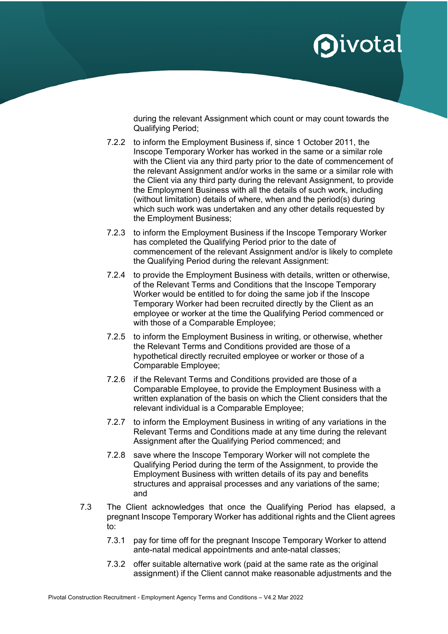during the relevant Assignment which count or may count towards the Qualifying Period;

- 7.2.2 to inform the Employment Business if, since 1 October 2011, the Inscope Temporary Worker has worked in the same or a similar role with the Client via any third party prior to the date of commencement of the relevant Assignment and/or works in the same or a similar role with the Client via any third party during the relevant Assignment, to provide the Employment Business with all the details of such work, including (without limitation) details of where, when and the period(s) during which such work was undertaken and any other details requested by the Employment Business;
- 7.2.3 to inform the Employment Business if the Inscope Temporary Worker has completed the Qualifying Period prior to the date of commencement of the relevant Assignment and/or is likely to complete the Qualifying Period during the relevant Assignment:
- 7.2.4 to provide the Employment Business with details, written or otherwise, of the Relevant Terms and Conditions that the Inscope Temporary Worker would be entitled to for doing the same job if the Inscope Temporary Worker had been recruited directly by the Client as an employee or worker at the time the Qualifying Period commenced or with those of a Comparable Employee;
- 7.2.5 to inform the Employment Business in writing, or otherwise, whether the Relevant Terms and Conditions provided are those of a hypothetical directly recruited employee or worker or those of a Comparable Employee;
- 7.2.6 if the Relevant Terms and Conditions provided are those of a Comparable Employee, to provide the Employment Business with a written explanation of the basis on which the Client considers that the relevant individual is a Comparable Employee;
- 7.2.7 to inform the Employment Business in writing of any variations in the Relevant Terms and Conditions made at any time during the relevant Assignment after the Qualifying Period commenced; and
- 7.2.8 save where the Inscope Temporary Worker will not complete the Qualifying Period during the term of the Assignment, to provide the Employment Business with written details of its pay and benefits structures and appraisal processes and any variations of the same; and
- 7.3 The Client acknowledges that once the Qualifying Period has elapsed, a pregnant Inscope Temporary Worker has additional rights and the Client agrees to:
	- 7.3.1 pay for time off for the pregnant Inscope Temporary Worker to attend ante-natal medical appointments and ante-natal classes;
	- 7.3.2 offer suitable alternative work (paid at the same rate as the original assignment) if the Client cannot make reasonable adjustments and the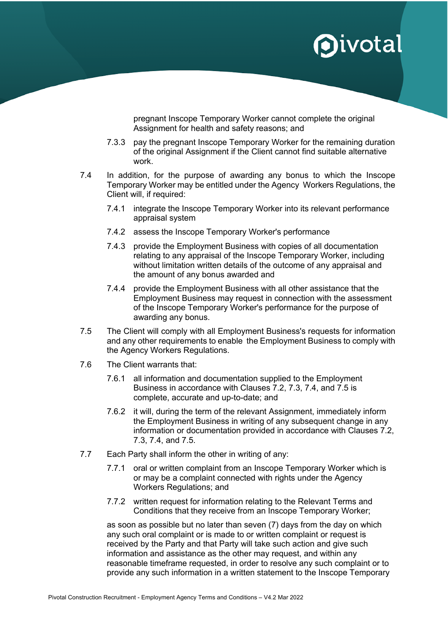pregnant Inscope Temporary Worker cannot complete the original Assignment for health and safety reasons; and

- 7.3.3 pay the pregnant Inscope Temporary Worker for the remaining duration of the original Assignment if the Client cannot find suitable alternative work.
- 7.4 In addition, for the purpose of awarding any bonus to which the Inscope Temporary Worker may be entitled under the Agency Workers Regulations, the Client will, if required:
	- 7.4.1 integrate the Inscope Temporary Worker into its relevant performance appraisal system
	- 7.4.2 assess the Inscope Temporary Worker's performance
	- 7.4.3 provide the Employment Business with copies of all documentation relating to any appraisal of the Inscope Temporary Worker, including without limitation written details of the outcome of any appraisal and the amount of any bonus awarded and
	- 7.4.4 provide the Employment Business with all other assistance that the Employment Business may request in connection with the assessment of the Inscope Temporary Worker's performance for the purpose of awarding any bonus.
- 7.5 The Client will comply with all Employment Business's requests for information and any other requirements to enable the Employment Business to comply with the Agency Workers Regulations.
- 7.6 The Client warrants that:
	- 7.6.1 all information and documentation supplied to the Employment Business in accordance with Clauses 7.2, 7.3, 7.4, and 7.5 is complete, accurate and up-to-date; and
	- 7.6.2 it will, during the term of the relevant Assignment, immediately inform the Employment Business in writing of any subsequent change in any information or documentation provided in accordance with Clauses 7.2, 7.3, 7.4, and 7.5.
- 7.7 Each Party shall inform the other in writing of any:
	- 7.7.1 oral or written complaint from an Inscope Temporary Worker which is or may be a complaint connected with rights under the Agency Workers Regulations; and
	- 7.7.2 written request for information relating to the Relevant Terms and Conditions that they receive from an Inscope Temporary Worker;

as soon as possible but no later than seven (7) days from the day on which any such oral complaint or is made to or written complaint or request is received by the Party and that Party will take such action and give such information and assistance as the other may request, and within any reasonable timeframe requested, in order to resolve any such complaint or to provide any such information in a written statement to the Inscope Temporary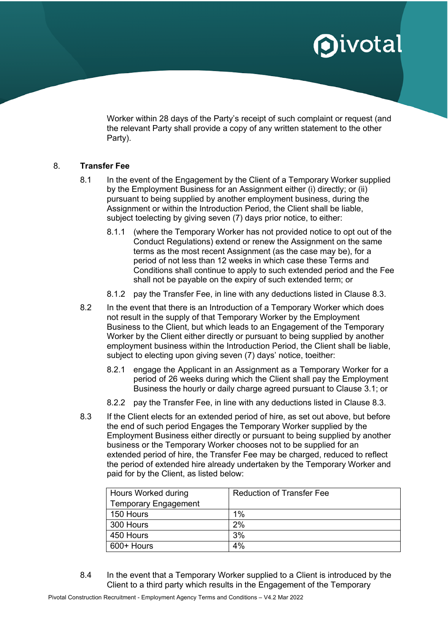Worker within 28 days of the Party's receipt of such complaint or request (and the relevant Party shall provide a copy of any written statement to the other Party).

### 8. **Transfer Fee**

- 8.1 In the event of the Engagement by the Client of a Temporary Worker supplied by the Employment Business for an Assignment either (i) directly; or (ii) pursuant to being supplied by another employment business, during the Assignment or within the Introduction Period, the Client shall be liable, subject toelecting by giving seven (7) days prior notice, to either:
	- 8.1.1 (where the Temporary Worker has not provided notice to opt out of the Conduct Regulations) extend or renew the Assignment on the same terms as the most recent Assignment (as the case may be), for a period of not less than 12 weeks in which case these Terms and Conditions shall continue to apply to such extended period and the Fee shall not be payable on the expiry of such extended term; or
	- 8.1.2 pay the Transfer Fee, in line with any deductions listed in Clause 8.3.
- 8.2 In the event that there is an Introduction of a Temporary Worker which does not result in the supply of that Temporary Worker by the Employment Business to the Client, but which leads to an Engagement of the Temporary Worker by the Client either directly or pursuant to being supplied by another employment business within the Introduction Period, the Client shall be liable, subject to electing upon giving seven (7) days' notice, toeither:
	- 8.2.1 engage the Applicant in an Assignment as a Temporary Worker for a period of 26 weeks during which the Client shall pay the Employment Business the hourly or daily charge agreed pursuant to Clause 3.1; or
	- 8.2.2 pay the Transfer Fee, in line with any deductions listed in Clause 8.3.
- 8.3 If the Client elects for an extended period of hire, as set out above, but before the end of such period Engages the Temporary Worker supplied by the Employment Business either directly or pursuant to being supplied by another business or the Temporary Worker chooses not to be supplied for an extended period of hire, the Transfer Fee may be charged, reduced to reflect the period of extended hire already undertaken by the Temporary Worker and paid for by the Client, as listed below:

| Hours Worked during         | <b>Reduction of Transfer Fee</b> |
|-----------------------------|----------------------------------|
| <b>Temporary Engagement</b> |                                  |
| 150 Hours                   | 1%                               |
| 300 Hours                   | 2%                               |
| 450 Hours                   | 3%                               |
| 600+ Hours                  | 4%                               |

8.4 In the event that a Temporary Worker supplied to a Client is introduced by the Client to a third party which results in the Engagement of the Temporary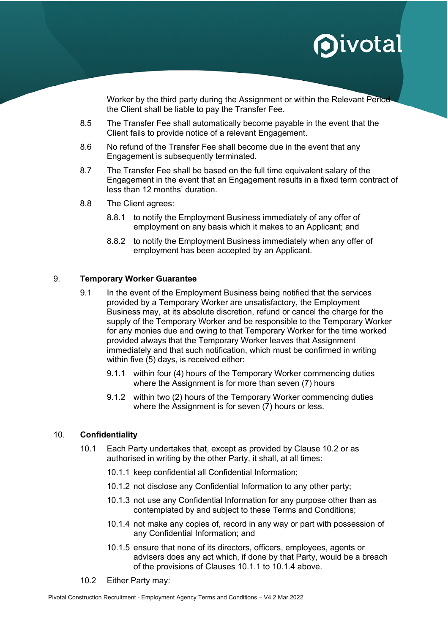Worker by the third party during the Assignment or within the Relevant Period the Client shall be liable to pay the Transfer Fee.

- 8.5 The Transfer Fee shall automatically become payable in the event that the Client fails to provide notice of a relevant Engagement.
- 8.6 No refund of the Transfer Fee shall become due in the event that any Engagement is subsequently terminated.
- 8.7 The Transfer Fee shall be based on the full time equivalent salary of the Engagement in the event that an Engagement results in a fixed term contract of less than 12 months' duration.
- 8.8 The Client agrees:
	- 8.8.1 to notify the Employment Business immediately of any offer of employment on any basis which it makes to an Applicant; and
	- 8.8.2 to notify the Employment Business immediately when any offer of employment has been accepted by an Applicant.

### 9. **Temporary Worker Guarantee**

- 9.1 In the event of the Employment Business being notified that the services provided by a Temporary Worker are unsatisfactory, the Employment Business may, at its absolute discretion, refund or cancel the charge for the supply of the Temporary Worker and be responsible to the Temporary Worker for any monies due and owing to that Temporary Worker for the time worked provided always that the Temporary Worker leaves that Assignment immediately and that such notification, which must be confirmed in writing within five (5) days, is received either:
	- 9.1.1 within four (4) hours of the Temporary Worker commencing duties where the Assignment is for more than seven (7) hours
	- 9.1.2 within two (2) hours of the Temporary Worker commencing duties where the Assignment is for seven (7) hours or less.

### 10. **Confidentiality**

- 10.1 Each Party undertakes that, except as provided by Clause 10.2 or as authorised in writing by the other Party, it shall, at all times:
	- 10.1.1 keep confidential all Confidential Information;
	- 10.1.2 not disclose any Confidential Information to any other party;
	- 10.1.3 not use any Confidential Information for any purpose other than as contemplated by and subject to these Terms and Conditions;
	- 10.1.4 not make any copies of, record in any way or part with possession of any Confidential Information; and
	- 10.1.5 ensure that none of its directors, officers, employees, agents or advisers does any act which, if done by that Party, would be a breach of the provisions of Clauses 10.1.1 to 10.1.4 above.
- 10.2 Either Party may: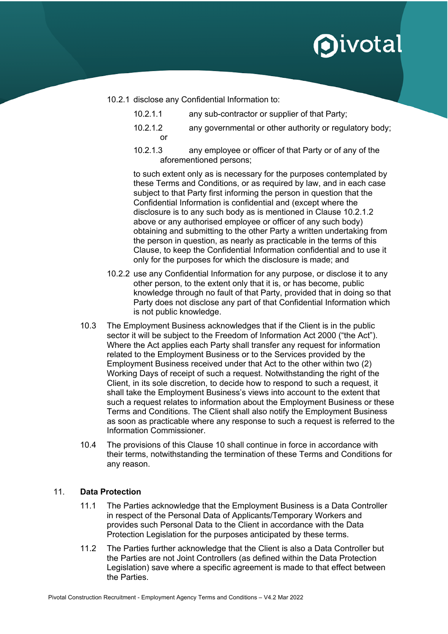- 10.2.1 disclose any Confidential Information to:
	- 10.2.1.1 any sub-contractor or supplier of that Party;
	- 10.2.1.2 any governmental or other authority or regulatory body; or
	- 10.2.1.3 any employee or officer of that Party or of any of the aforementioned persons;

to such extent only as is necessary for the purposes contemplated by these Terms and Conditions, or as required by law, and in each case subject to that Party first informing the person in question that the Confidential Information is confidential and (except where the disclosure is to any such body as is mentioned in Clause 10.2.1.2 above or any authorised employee or officer of any such body) obtaining and submitting to the other Party a written undertaking from the person in question, as nearly as practicable in the terms of this Clause, to keep the Confidential Information confidential and to use it only for the purposes for which the disclosure is made; and

- 10.2.2 use any Confidential Information for any purpose, or disclose it to any other person, to the extent only that it is, or has become, public knowledge through no fault of that Party, provided that in doing so that Party does not disclose any part of that Confidential Information which is not public knowledge.
- 10.3 The Employment Business acknowledges that if the Client is in the public sector it will be subject to the Freedom of Information Act 2000 ("the Act"). Where the Act applies each Party shall transfer any request for information related to the Employment Business or to the Services provided by the Employment Business received under that Act to the other within two (2) Working Days of receipt of such a request. Notwithstanding the right of the Client, in its sole discretion, to decide how to respond to such a request, it shall take the Employment Business's views into account to the extent that such a request relates to information about the Employment Business or these Terms and Conditions. The Client shall also notify the Employment Business as soon as practicable where any response to such a request is referred to the Information Commissioner.
- 10.4 The provisions of this Clause 10 shall continue in force in accordance with their terms, notwithstanding the termination of these Terms and Conditions for any reason.

### 11. **Data Protection**

- 11.1 The Parties acknowledge that the Employment Business is a Data Controller in respect of the Personal Data of Applicants/Temporary Workers and provides such Personal Data to the Client in accordance with the Data Protection Legislation for the purposes anticipated by these terms.
- 11.2 The Parties further acknowledge that the Client is also a Data Controller but the Parties are not Joint Controllers (as defined within the Data Protection Legislation) save where a specific agreement is made to that effect between the Parties.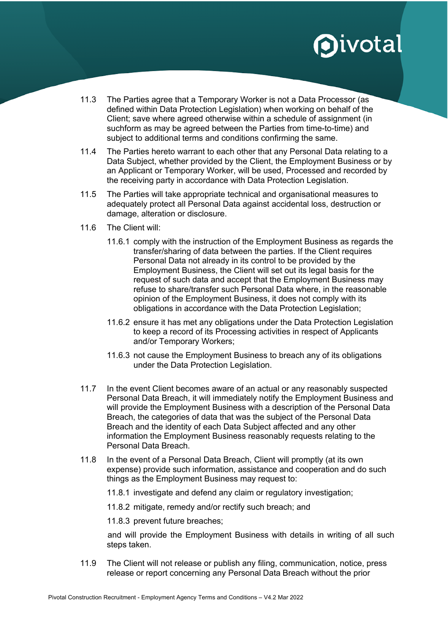- 11.3 The Parties agree that a Temporary Worker is not a Data Processor (as defined within Data Protection Legislation) when working on behalf of the Client; save where agreed otherwise within a schedule of assignment (in suchform as may be agreed between the Parties from time-to-time) and subject to additional terms and conditions confirming the same.
- 11.4 The Parties hereto warrant to each other that any Personal Data relating to a Data Subject, whether provided by the Client, the Employment Business or by an Applicant or Temporary Worker, will be used, Processed and recorded by the receiving party in accordance with Data Protection Legislation.
- 11.5 The Parties will take appropriate technical and organisational measures to adequately protect all Personal Data against accidental loss, destruction or damage, alteration or disclosure.
- 11.6 The Client will:
	- 11.6.1 comply with the instruction of the Employment Business as regards the transfer/sharing of data between the parties. If the Client requires Personal Data not already in its control to be provided by the Employment Business, the Client will set out its legal basis for the request of such data and accept that the Employment Business may refuse to share/transfer such Personal Data where, in the reasonable opinion of the Employment Business, it does not comply with its obligations in accordance with the Data Protection Legislation;
	- 11.6.2 ensure it has met any obligations under the Data Protection Legislation to keep a record of its Processing activities in respect of Applicants and/or Temporary Workers;
	- 11.6.3 not cause the Employment Business to breach any of its obligations under the Data Protection Legislation.
- 11.7 In the event Client becomes aware of an actual or any reasonably suspected Personal Data Breach, it will immediately notify the Employment Business and will provide the Employment Business with a description of the Personal Data Breach, the categories of data that was the subject of the Personal Data Breach and the identity of each Data Subject affected and any other information the Employment Business reasonably requests relating to the Personal Data Breach.
- 11.8 In the event of a Personal Data Breach, Client will promptly (at its own expense) provide such information, assistance and cooperation and do such things as the Employment Business may request to:
	- 11.8.1 investigate and defend any claim or regulatory investigation;
	- 11.8.2 mitigate, remedy and/or rectify such breach; and
	- 11.8.3 prevent future breaches;

and will provide the Employment Business with details in writing of all such steps taken.

11.9 The Client will not release or publish any filing, communication, notice, press release or report concerning any Personal Data Breach without the prior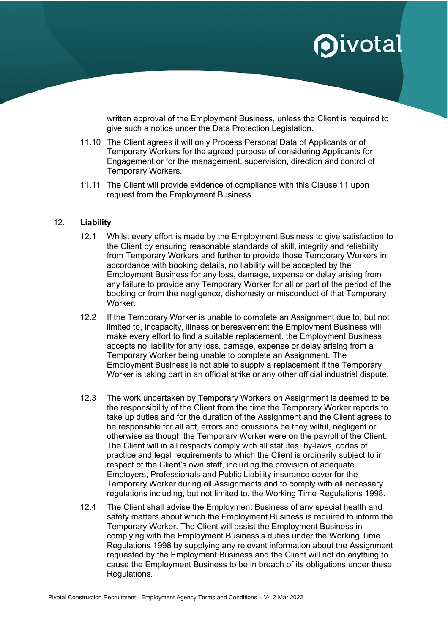written approval of the Employment Business, unless the Client is required to give such a notice under the Data Protection Legislation.

- 11.10 The Client agrees it will only Process Personal Data of Applicants or of Temporary Workers for the agreed purpose of considering Applicants for Engagement or for the management, supervision, direction and control of Temporary Workers.
- 11.11 The Client will provide evidence of compliance with this Clause 11 upon request from the Employment Business.

#### 12. **Liability**

- 12.1 Whilst every effort is made by the Employment Business to give satisfaction to the Client by ensuring reasonable standards of skill, integrity and reliability from Temporary Workers and further to provide those Temporary Workers in accordance with booking details, no liability will be accepted by the Employment Business for any loss, damage, expense or delay arising from any failure to provide any Temporary Worker for all or part of the period of the booking or from the negligence, dishonesty or misconduct of that Temporary Worker.
- 12.2 If the Temporary Worker is unable to complete an Assignment due to, but not limited to, incapacity, illness or bereavement the Employment Business will make every effort to find a suitable replacement. the Employment Business accepts no liability for any loss, damage, expense or delay arising from a Temporary Worker being unable to complete an Assignment. The Employment Business is not able to supply a replacement if the Temporary Worker is taking part in an official strike or any other official industrial dispute.
- 12.3 The work undertaken by Temporary Workers on Assignment is deemed to be the responsibility of the Client from the time the Temporary Worker reports to take up duties and for the duration of the Assignment and the Client agrees to be responsible for all act, errors and omissions be they wilful, negligent or otherwise as though the Temporary Worker were on the payroll of the Client. The Client will in all respects comply with all statutes, by-laws, codes of practice and legal requirements to which the Client is ordinarily subject to in respect of the Client's own staff, including the provision of adequate Employers, Professionals and Public Liability insurance cover for the Temporary Worker during all Assignments and to comply with all necessary regulations including, but not limited to, the Working Time Regulations 1998.
- 12.4 The Client shall advise the Employment Business of any special health and safety matters about which the Employment Business is required to inform the Temporary Worker. The Client will assist the Employment Business in complying with the Employment Business's duties under the Working Time Regulations 1998 by supplying any relevant information about the Assignment requested by the Employment Business and the Client will not do anything to cause the Employment Business to be in breach of its obligations under these Regulations.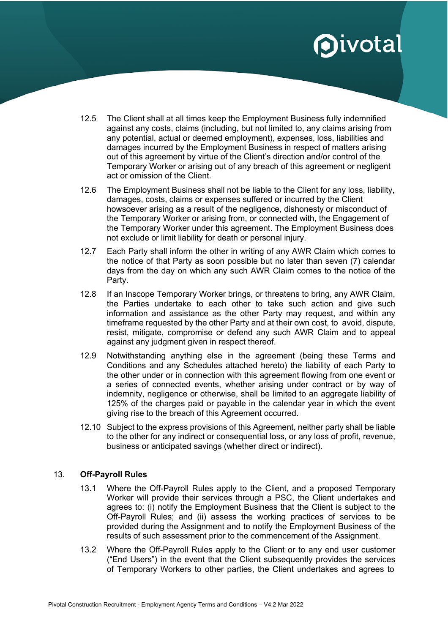- 12.5 The Client shall at all times keep the Employment Business fully indemnified against any costs, claims (including, but not limited to, any claims arising from any potential, actual or deemed employment), expenses, loss, liabilities and damages incurred by the Employment Business in respect of matters arising out of this agreement by virtue of the Client's direction and/or control of the Temporary Worker or arising out of any breach of this agreement or negligent act or omission of the Client.
- 12.6 The Employment Business shall not be liable to the Client for any loss, liability, damages, costs, claims or expenses suffered or incurred by the Client howsoever arising as a result of the negligence, dishonesty or misconduct of the Temporary Worker or arising from, or connected with, the Engagement of the Temporary Worker under this agreement. The Employment Business does not exclude or limit liability for death or personal injury.
- 12.7 Each Party shall inform the other in writing of any AWR Claim which comes to the notice of that Party as soon possible but no later than seven (7) calendar days from the day on which any such AWR Claim comes to the notice of the Party.
- 12.8 If an Inscope Temporary Worker brings, or threatens to bring, any AWR Claim, the Parties undertake to each other to take such action and give such information and assistance as the other Party may request, and within any timeframe requested by the other Party and at their own cost, to avoid, dispute, resist, mitigate, compromise or defend any such AWR Claim and to appeal against any judgment given in respect thereof.
- 12.9 Notwithstanding anything else in the agreement (being these Terms and Conditions and any Schedules attached hereto) the liability of each Party to the other under or in connection with this agreement flowing from one event or a series of connected events, whether arising under contract or by way of indemnity, negligence or otherwise, shall be limited to an aggregate liability of 125% of the charges paid or payable in the calendar year in which the event giving rise to the breach of this Agreement occurred.
- 12.10 Subject to the express provisions of this Agreement, neither party shall be liable to the other for any indirect or consequential loss, or any loss of profit, revenue, business or anticipated savings (whether direct or indirect).

### 13. **Off-Payroll Rules**

- 13.1 Where the Off-Payroll Rules apply to the Client, and a proposed Temporary Worker will provide their services through a PSC, the Client undertakes and agrees to: (i) notify the Employment Business that the Client is subject to the Off-Payroll Rules; and (ii) assess the working practices of services to be provided during the Assignment and to notify the Employment Business of the results of such assessment prior to the commencement of the Assignment.
- 13.2 Where the Off-Payroll Rules apply to the Client or to any end user customer ("End Users") in the event that the Client subsequently provides the services of Temporary Workers to other parties, the Client undertakes and agrees to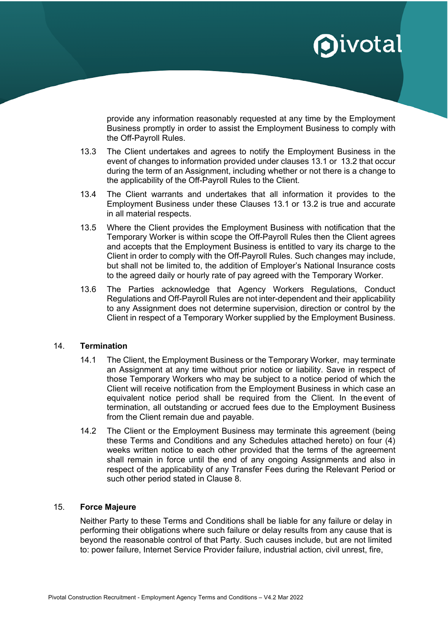provide any information reasonably requested at any time by the Employment Business promptly in order to assist the Employment Business to comply with the Off-Payroll Rules.

- 13.3 The Client undertakes and agrees to notify the Employment Business in the event of changes to information provided under clauses 13.1 or 13.2 that occur during the term of an Assignment, including whether or not there is a change to the applicability of the Off-Payroll Rules to the Client.
- 13.4 The Client warrants and undertakes that all information it provides to the Employment Business under these Clauses 13.1 or 13.2 is true and accurate in all material respects.
- 13.5 Where the Client provides the Employment Business with notification that the Temporary Worker is within scope the Off-Payroll Rules then the Client agrees and accepts that the Employment Business is entitled to vary its charge to the Client in order to comply with the Off-Payroll Rules. Such changes may include, but shall not be limited to, the addition of Employer's National Insurance costs to the agreed daily or hourly rate of pay agreed with the Temporary Worker.
- 13.6 The Parties acknowledge that Agency Workers Regulations, Conduct Regulations and Off-Payroll Rules are not inter-dependent and their applicability to any Assignment does not determine supervision, direction or control by the Client in respect of a Temporary Worker supplied by the Employment Business.

### 14. **Termination**

- 14.1 The Client, the Employment Business or the Temporary Worker, may terminate an Assignment at any time without prior notice or liability. Save in respect of those Temporary Workers who may be subject to a notice period of which the Client will receive notification from the Employment Business in which case an equivalent notice period shall be required from the Client. In the event of termination, all outstanding or accrued fees due to the Employment Business from the Client remain due and payable.
- 14.2 The Client or the Employment Business may terminate this agreement (being these Terms and Conditions and any Schedules attached hereto) on four (4) weeks written notice to each other provided that the terms of the agreement shall remain in force until the end of any ongoing Assignments and also in respect of the applicability of any Transfer Fees during the Relevant Period or such other period stated in Clause 8.

### 15. **Force Majeure**

Neither Party to these Terms and Conditions shall be liable for any failure or delay in performing their obligations where such failure or delay results from any cause that is beyond the reasonable control of that Party. Such causes include, but are not limited to: power failure, Internet Service Provider failure, industrial action, civil unrest, fire,